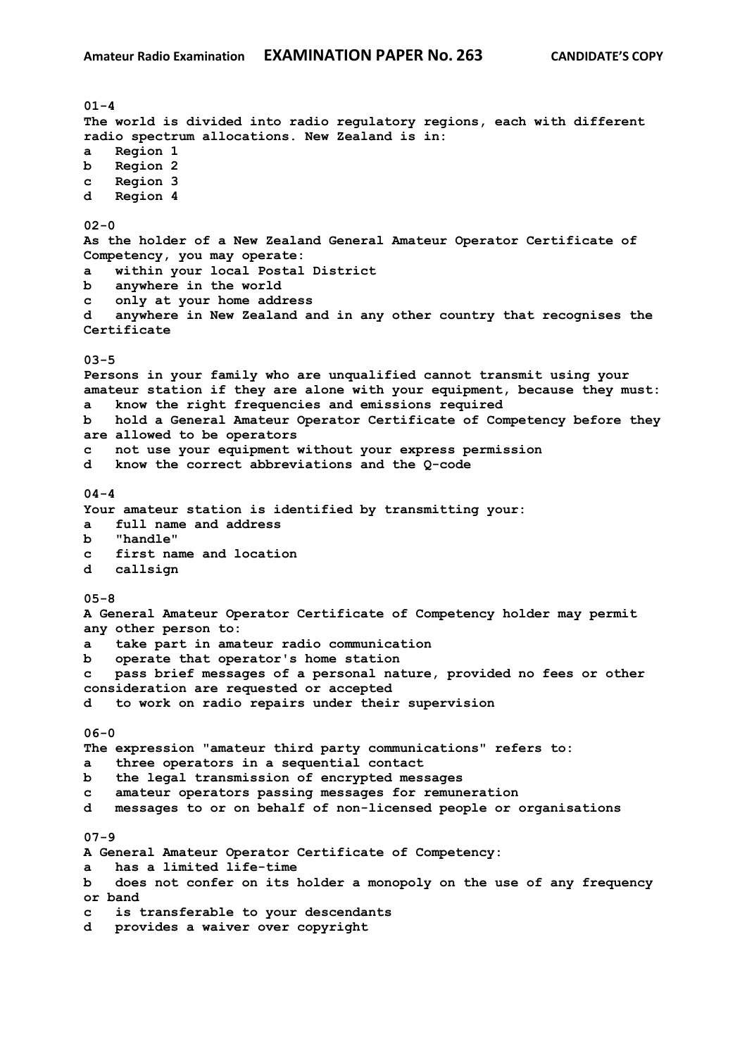**01-4 The world is divided into radio regulatory regions, each with different radio spectrum allocations. New Zealand is in: a Region 1 b Region 2 c Region 3 d Region 4 02-0 As the holder of a New Zealand General Amateur Operator Certificate of Competency, you may operate: a within your local Postal District b anywhere in the world c only at your home address d anywhere in New Zealand and in any other country that recognises the Certificate 03-5 Persons in your family who are unqualified cannot transmit using your amateur station if they are alone with your equipment, because they must: a know the right frequencies and emissions required b hold a General Amateur Operator Certificate of Competency before they are allowed to be operators c not use your equipment without your express permission d know the correct abbreviations and the Q-code 04-4 Your amateur station is identified by transmitting your: a full name and address b "handle" c first name and location d callsign 05-8 A General Amateur Operator Certificate of Competency holder may permit any other person to: a take part in amateur radio communication b operate that operator's home station c pass brief messages of a personal nature, provided no fees or other consideration are requested or accepted d to work on radio repairs under their supervision 06-0 The expression "amateur third party communications" refers to: a three operators in a sequential contact b the legal transmission of encrypted messages c amateur operators passing messages for remuneration d messages to or on behalf of non-licensed people or organisations 07-9 A General Amateur Operator Certificate of Competency: a has a limited life-time b does not confer on its holder a monopoly on the use of any frequency or band c is transferable to your descendants d provides a waiver over copyright**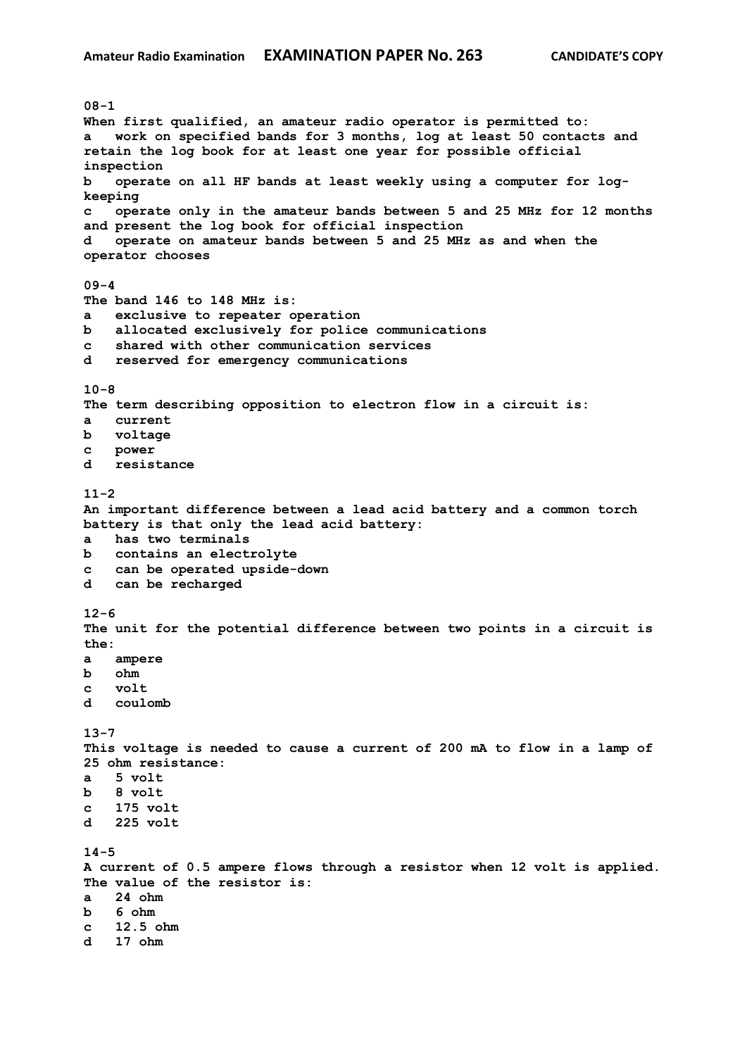**08-1 When first qualified, an amateur radio operator is permitted to: a work on specified bands for 3 months, log at least 50 contacts and retain the log book for at least one year for possible official inspection b operate on all HF bands at least weekly using a computer for logkeeping c operate only in the amateur bands between 5 and 25 MHz for 12 months and present the log book for official inspection d operate on amateur bands between 5 and 25 MHz as and when the operator chooses 09-4 The band 146 to 148 MHz is: a exclusive to repeater operation b allocated exclusively for police communications c shared with other communication services d reserved for emergency communications 10-8 The term describing opposition to electron flow in a circuit is: a current b voltage c power d resistance 11-2 An important difference between a lead acid battery and a common torch battery is that only the lead acid battery: a has two terminals b contains an electrolyte c can be operated upside-down d can be recharged 12-6 The unit for the potential difference between two points in a circuit is the: a ampere b ohm c volt d coulomb 13-7 This voltage is needed to cause a current of 200 mA to flow in a lamp of 25 ohm resistance: a 5 volt b 8 volt c 175 volt d 225 volt 14-5 A current of 0.5 ampere flows through a resistor when 12 volt is applied. The value of the resistor is: a 24 ohm b 6 ohm c 12.5 ohm d 17 ohm**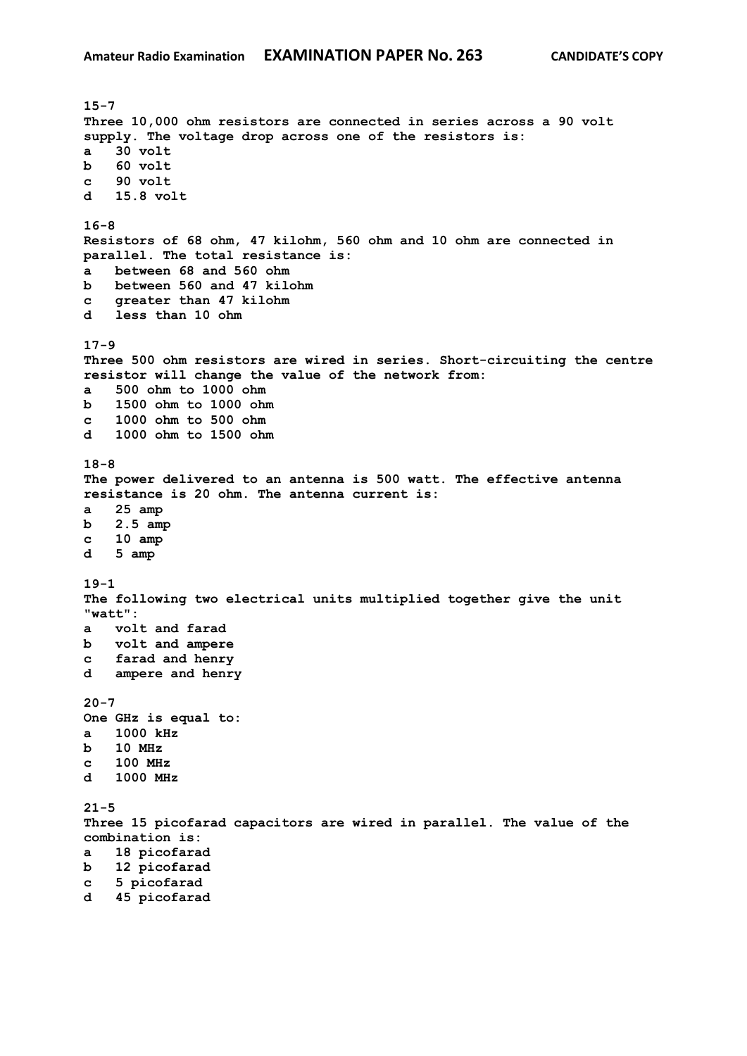**15-7 Three 10,000 ohm resistors are connected in series across a 90 volt supply. The voltage drop across one of the resistors is: a 30 volt b 60 volt c 90 volt d 15.8 volt 16-8 Resistors of 68 ohm, 47 kilohm, 560 ohm and 10 ohm are connected in parallel. The total resistance is: a between 68 and 560 ohm b between 560 and 47 kilohm c greater than 47 kilohm d less than 10 ohm 17-9 Three 500 ohm resistors are wired in series. Short-circuiting the centre resistor will change the value of the network from: a 500 ohm to 1000 ohm b 1500 ohm to 1000 ohm c 1000 ohm to 500 ohm d 1000 ohm to 1500 ohm 18-8 The power delivered to an antenna is 500 watt. The effective antenna resistance is 20 ohm. The antenna current is: a 25 amp b 2.5 amp c 10 amp d 5 amp 19-1 The following two electrical units multiplied together give the unit "watt": a volt and farad b volt and ampere c farad and henry d ampere and henry 20-7 One GHz is equal to: a 1000 kHz b 10 MHz c 100 MHz d 1000 MHz 21-5 Three 15 picofarad capacitors are wired in parallel. The value of the combination is: a 18 picofarad b 12 picofarad c 5 picofarad d 45 picofarad**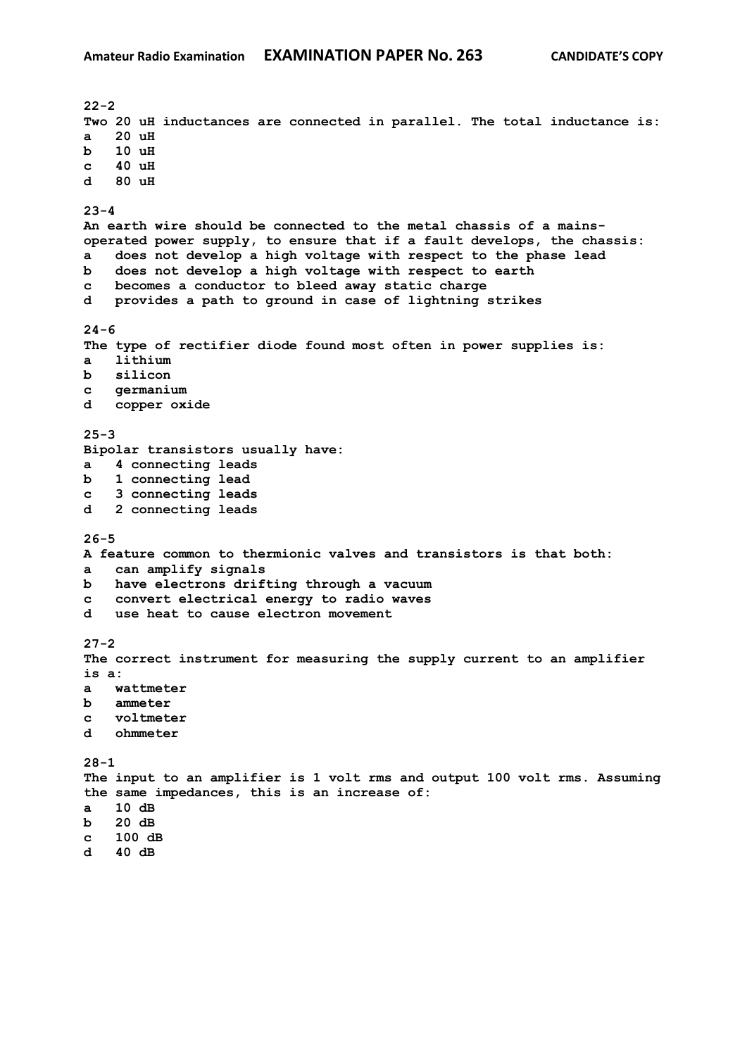**22-2 Two 20 uH inductances are connected in parallel. The total inductance is: a 20 uH b 10 uH c 40 uH d 80 uH 23-4 An earth wire should be connected to the metal chassis of a mainsoperated power supply, to ensure that if a fault develops, the chassis: a does not develop a high voltage with respect to the phase lead b does not develop a high voltage with respect to earth c becomes a conductor to bleed away static charge d provides a path to ground in case of lightning strikes 24-6 The type of rectifier diode found most often in power supplies is: a lithium b silicon c germanium d copper oxide 25-3 Bipolar transistors usually have: a 4 connecting leads b 1 connecting lead c 3 connecting leads d 2 connecting leads 26-5 A feature common to thermionic valves and transistors is that both: a can amplify signals b have electrons drifting through a vacuum c convert electrical energy to radio waves d use heat to cause electron movement 27-2 The correct instrument for measuring the supply current to an amplifier is a: a wattmeter b ammeter c voltmeter d ohmmeter 28-1 The input to an amplifier is 1 volt rms and output 100 volt rms. Assuming the same impedances, this is an increase of: a 10 dB b 20 dB c 100 dB d 40 dB**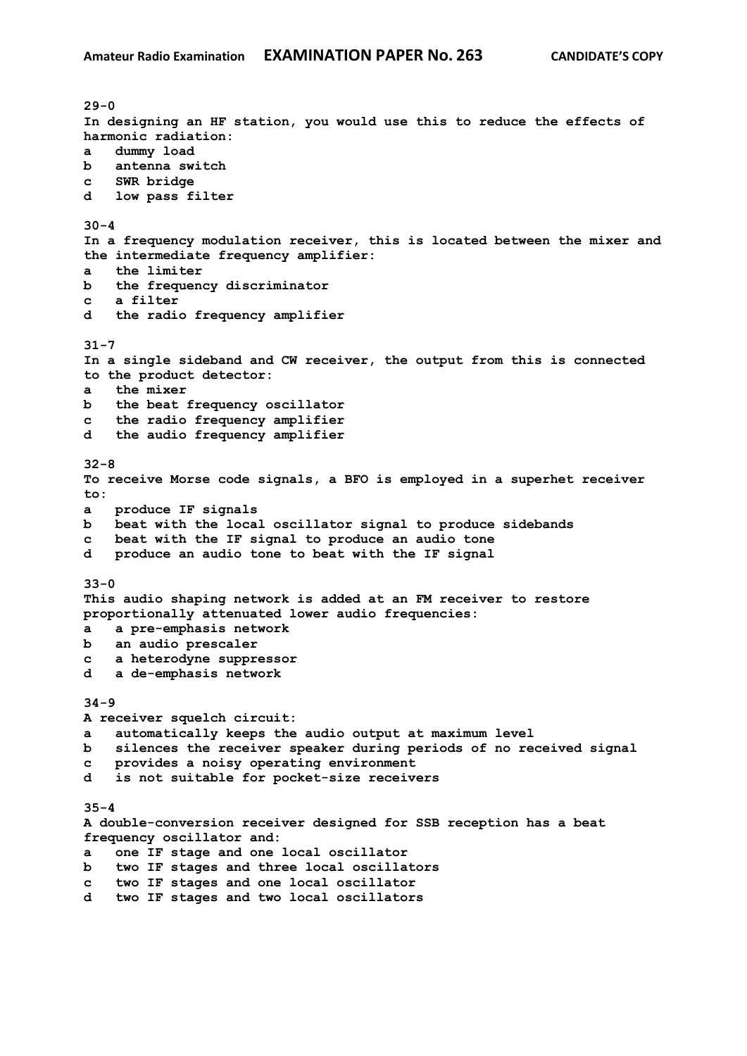**29-0 In designing an HF station, you would use this to reduce the effects of harmonic radiation: a dummy load b antenna switch c SWR bridge d low pass filter 30-4 In a frequency modulation receiver, this is located between the mixer and the intermediate frequency amplifier: a the limiter b the frequency discriminator c a filter d the radio frequency amplifier 31-7 In a single sideband and CW receiver, the output from this is connected to the product detector: a the mixer b the beat frequency oscillator c the radio frequency amplifier d the audio frequency amplifier 32-8 To receive Morse code signals, a BFO is employed in a superhet receiver to: a produce IF signals b beat with the local oscillator signal to produce sidebands c beat with the IF signal to produce an audio tone d produce an audio tone to beat with the IF signal 33-0 This audio shaping network is added at an FM receiver to restore proportionally attenuated lower audio frequencies: a a pre-emphasis network b an audio prescaler c a heterodyne suppressor d a de-emphasis network 34-9 A receiver squelch circuit: a automatically keeps the audio output at maximum level b silences the receiver speaker during periods of no received signal c provides a noisy operating environment d is not suitable for pocket-size receivers 35-4 A double-conversion receiver designed for SSB reception has a beat frequency oscillator and: a one IF stage and one local oscillator b two IF stages and three local oscillators c two IF stages and one local oscillator d two IF stages and two local oscillators**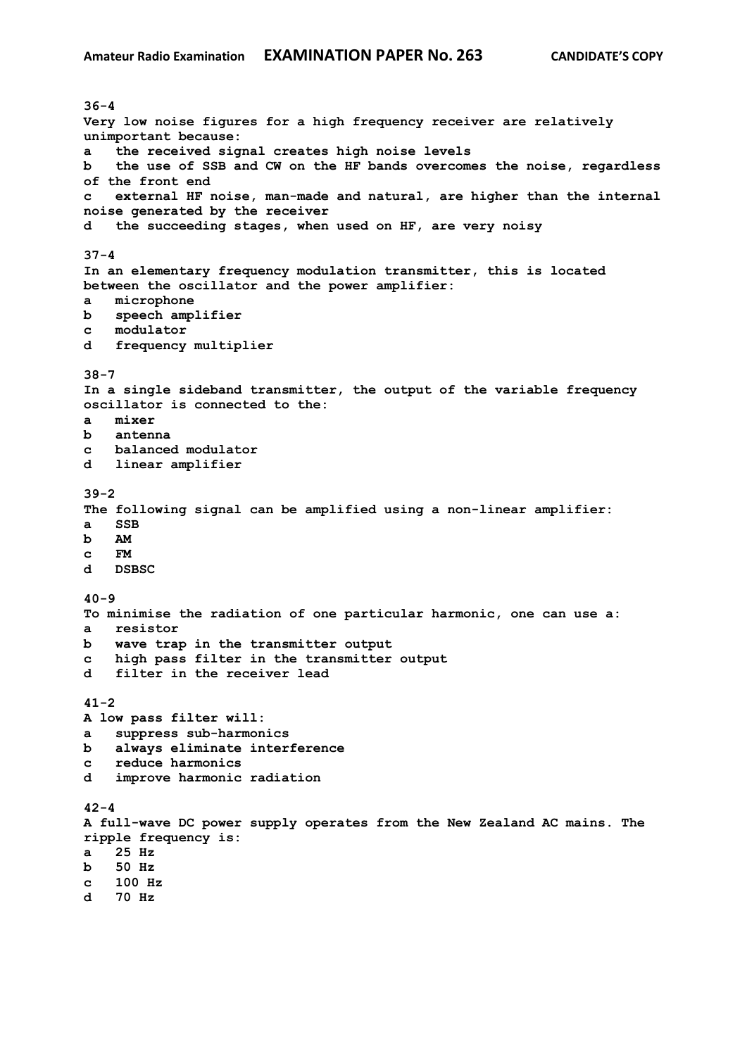**36-4 Very low noise figures for a high frequency receiver are relatively unimportant because: a the received signal creates high noise levels b the use of SSB and CW on the HF bands overcomes the noise, regardless of the front end c external HF noise, man-made and natural, are higher than the internal noise generated by the receiver d the succeeding stages, when used on HF, are very noisy 37-4 In an elementary frequency modulation transmitter, this is located between the oscillator and the power amplifier: a microphone b speech amplifier c modulator d frequency multiplier 38-7 In a single sideband transmitter, the output of the variable frequency oscillator is connected to the: a mixer b antenna c balanced modulator d linear amplifier 39-2 The following signal can be amplified using a non-linear amplifier: a SSB b AM c FM d DSBSC 40-9 To minimise the radiation of one particular harmonic, one can use a: a resistor b wave trap in the transmitter output c high pass filter in the transmitter output d filter in the receiver lead 41-2 A low pass filter will: a suppress sub-harmonics b always eliminate interference c reduce harmonics d improve harmonic radiation 42-4 A full-wave DC power supply operates from the New Zealand AC mains. The ripple frequency is: a 25 Hz b 50 Hz c 100 Hz d 70 Hz**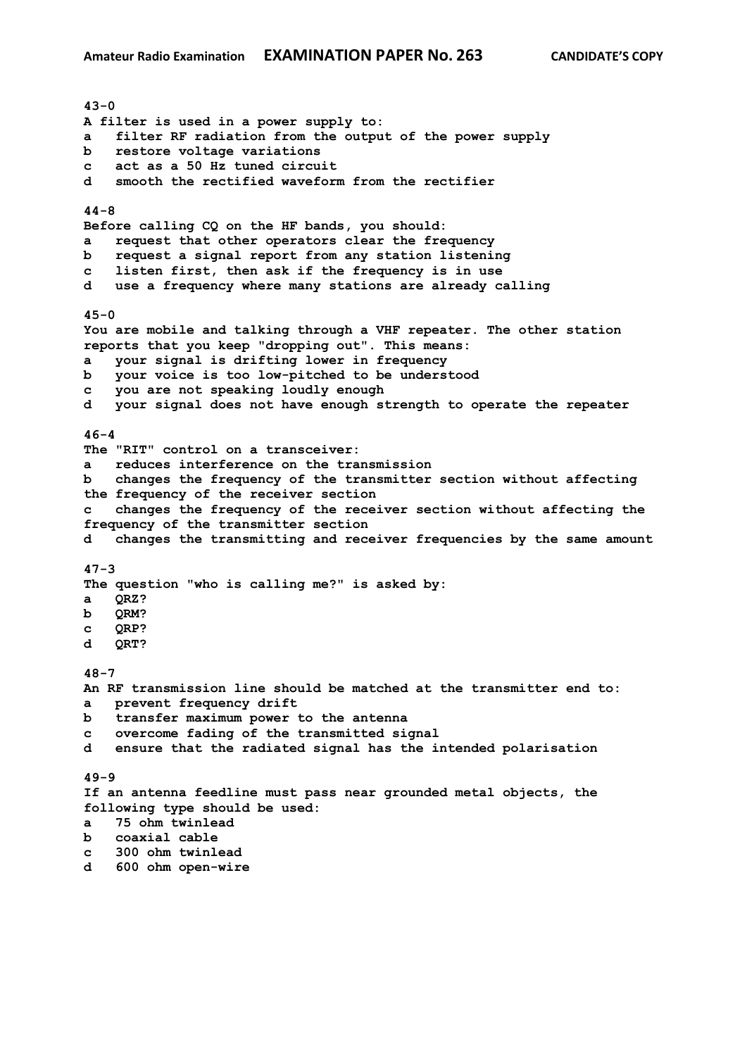**43-0 A filter is used in a power supply to: a filter RF radiation from the output of the power supply b restore voltage variations c act as a 50 Hz tuned circuit d smooth the rectified waveform from the rectifier 44-8 Before calling CQ on the HF bands, you should: a request that other operators clear the frequency b request a signal report from any station listening c listen first, then ask if the frequency is in use d use a frequency where many stations are already calling 45-0 You are mobile and talking through a VHF repeater. The other station reports that you keep "dropping out". This means: a your signal is drifting lower in frequency b your voice is too low-pitched to be understood c you are not speaking loudly enough d your signal does not have enough strength to operate the repeater 46-4 The "RIT" control on a transceiver: a reduces interference on the transmission b changes the frequency of the transmitter section without affecting the frequency of the receiver section c changes the frequency of the receiver section without affecting the frequency of the transmitter section d changes the transmitting and receiver frequencies by the same amount 47-3 The question "who is calling me?" is asked by: a QRZ? b QRM? c QRP? d QRT? 48-7 An RF transmission line should be matched at the transmitter end to: a prevent frequency drift b transfer maximum power to the antenna c overcome fading of the transmitted signal d ensure that the radiated signal has the intended polarisation 49-9 If an antenna feedline must pass near grounded metal objects, the following type should be used: a 75 ohm twinlead b coaxial cable c 300 ohm twinlead d 600 ohm open-wire**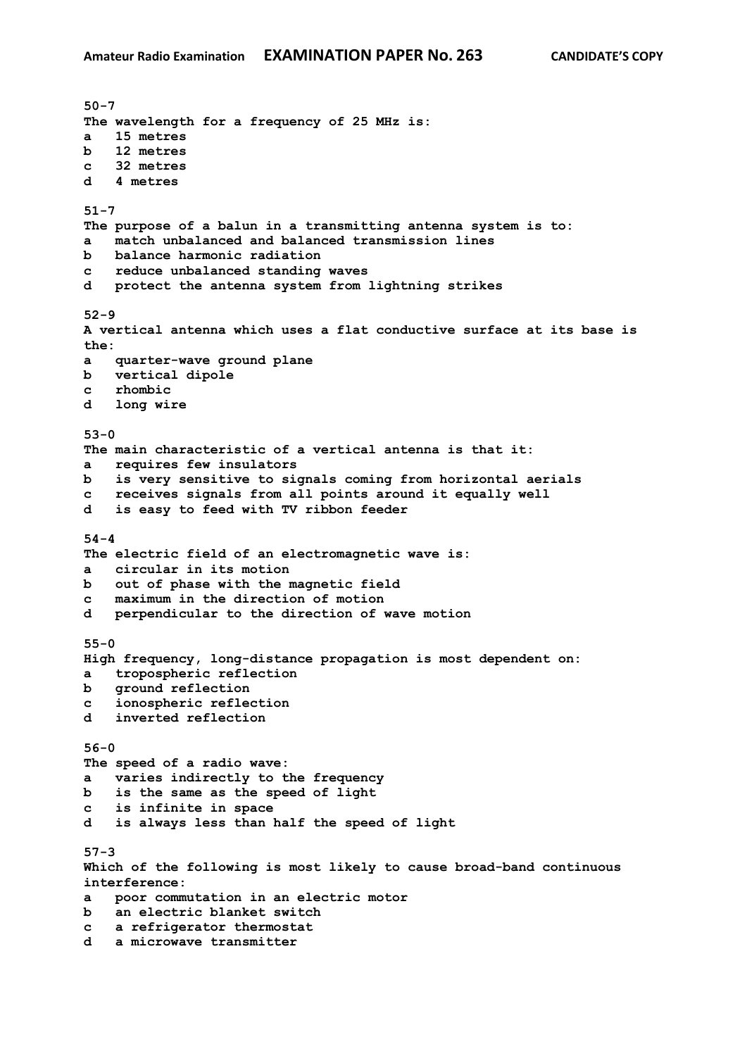**50-7 The wavelength for a frequency of 25 MHz is: a 15 metres b 12 metres c 32 metres d 4 metres 51-7 The purpose of a balun in a transmitting antenna system is to: a match unbalanced and balanced transmission lines b balance harmonic radiation c reduce unbalanced standing waves d protect the antenna system from lightning strikes 52-9 A vertical antenna which uses a flat conductive surface at its base is the: a quarter-wave ground plane b vertical dipole c rhombic d long wire 53-0 The main characteristic of a vertical antenna is that it: a requires few insulators b is very sensitive to signals coming from horizontal aerials c receives signals from all points around it equally well d is easy to feed with TV ribbon feeder 54-4 The electric field of an electromagnetic wave is: a circular in its motion b out of phase with the magnetic field c maximum in the direction of motion d perpendicular to the direction of wave motion 55-0 High frequency, long-distance propagation is most dependent on: a tropospheric reflection b ground reflection c ionospheric reflection d inverted reflection 56-0 The speed of a radio wave: a varies indirectly to the frequency b is the same as the speed of light c is infinite in space d is always less than half the speed of light 57-3 Which of the following is most likely to cause broad-band continuous interference: a poor commutation in an electric motor b an electric blanket switch c a refrigerator thermostat d a microwave transmitter**